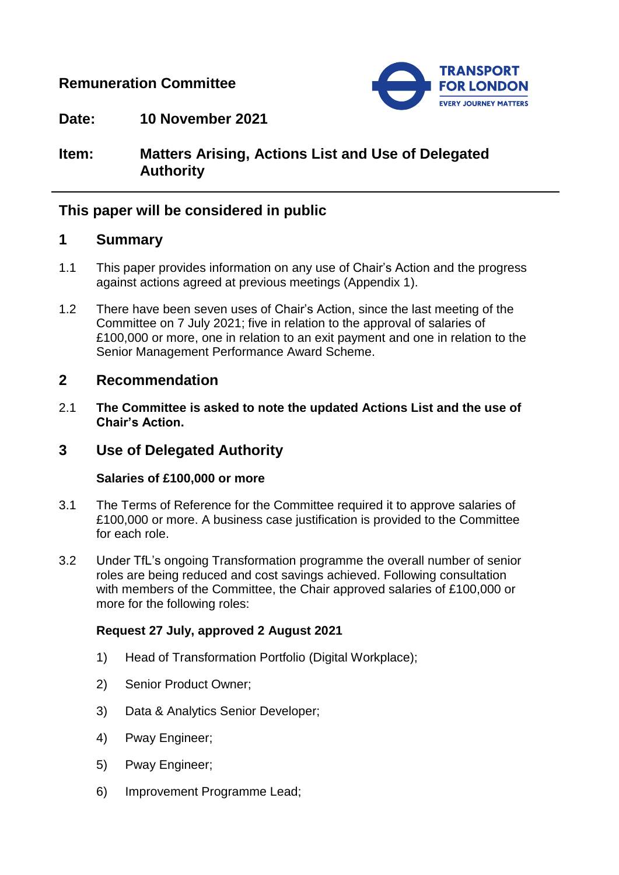## **Remuneration Committee**



**Date: 10 November 2021**

# **Item: Matters Arising, Actions List and Use of Delegated Authority**

## **This paper will be considered in public**

### **1 Summary**

- 1.1 This paper provides information on any use of Chair's Action and the progress against actions agreed at previous meetings (Appendix 1).
- 1.2 There have been seven uses of Chair's Action, since the last meeting of the Committee on 7 July 2021; five in relation to the approval of salaries of £100,000 or more, one in relation to an exit payment and one in relation to the Senior Management Performance Award Scheme.

### **2 Recommendation**

2.1 **The Committee is asked to note the updated Actions List and the use of Chair's Action.**

## **3 Use of Delegated Authority**

#### **Salaries of £100,000 or more**

- 3.1 The Terms of Reference for the Committee required it to approve salaries of £100,000 or more. A business case justification is provided to the Committee for each role.
- 3.2 Under TfL's ongoing Transformation programme the overall number of senior roles are being reduced and cost savings achieved. Following consultation with members of the Committee, the Chair approved salaries of £100,000 or more for the following roles:

### **Request 27 July, approved 2 August 2021**

- 1) Head of Transformation Portfolio (Digital Workplace);
- 2) Senior Product Owner;
- 3) Data & Analytics Senior Developer;
- 4) Pway Engineer;
- 5) Pway Engineer;
- 6) Improvement Programme Lead;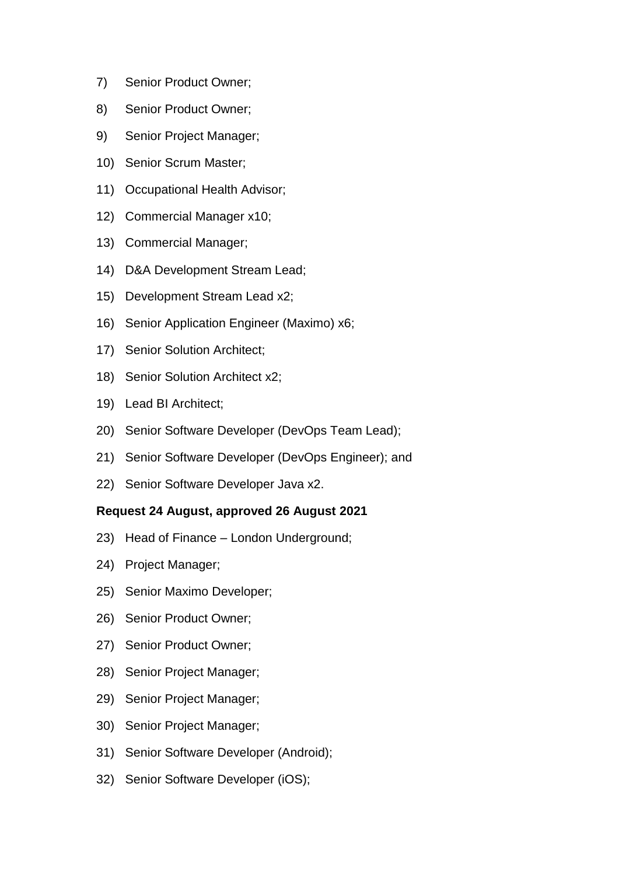- 7) Senior Product Owner;
- 8) Senior Product Owner;
- 9) Senior Project Manager;
- 10) Senior Scrum Master;
- 11) Occupational Health Advisor;
- 12) Commercial Manager x10;
- 13) Commercial Manager;
- 14) D&A Development Stream Lead;
- 15) Development Stream Lead x2;
- 16) Senior Application Engineer (Maximo) x6;
- 17) Senior Solution Architect;
- 18) Senior Solution Architect x2;
- 19) Lead BI Architect;
- 20) Senior Software Developer (DevOps Team Lead);
- 21) Senior Software Developer (DevOps Engineer); and
- 22) Senior Software Developer Java x2.

#### **Request 24 August, approved 26 August 2021**

- 23) Head of Finance London Underground;
- 24) Project Manager;
- 25) Senior Maximo Developer;
- 26) Senior Product Owner;
- 27) Senior Product Owner;
- 28) Senior Project Manager;
- 29) Senior Project Manager;
- 30) Senior Project Manager;
- 31) Senior Software Developer (Android);
- 32) Senior Software Developer (iOS);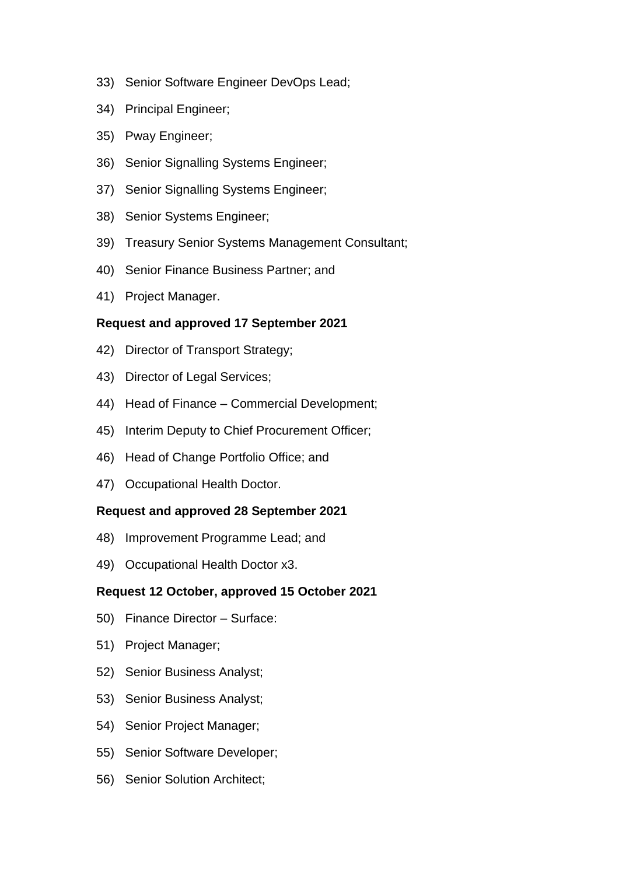- 33) Senior Software Engineer DevOps Lead;
- 34) Principal Engineer;
- 35) Pway Engineer;
- 36) Senior Signalling Systems Engineer;
- 37) Senior Signalling Systems Engineer;
- 38) Senior Systems Engineer;
- 39) Treasury Senior Systems Management Consultant;
- 40) Senior Finance Business Partner; and
- 41) Project Manager.

### **Request and approved 17 September 2021**

- 42) Director of Transport Strategy;
- 43) Director of Legal Services;
- 44) Head of Finance Commercial Development;
- 45) Interim Deputy to Chief Procurement Officer;
- 46) Head of Change Portfolio Office; and
- 47) Occupational Health Doctor.

#### **Request and approved 28 September 2021**

- 48) Improvement Programme Lead; and
- 49) Occupational Health Doctor x3.

#### **Request 12 October, approved 15 October 2021**

- 50) Finance Director Surface:
- 51) Project Manager;
- 52) Senior Business Analyst;
- 53) Senior Business Analyst;
- 54) Senior Project Manager;
- 55) Senior Software Developer;
- 56) Senior Solution Architect;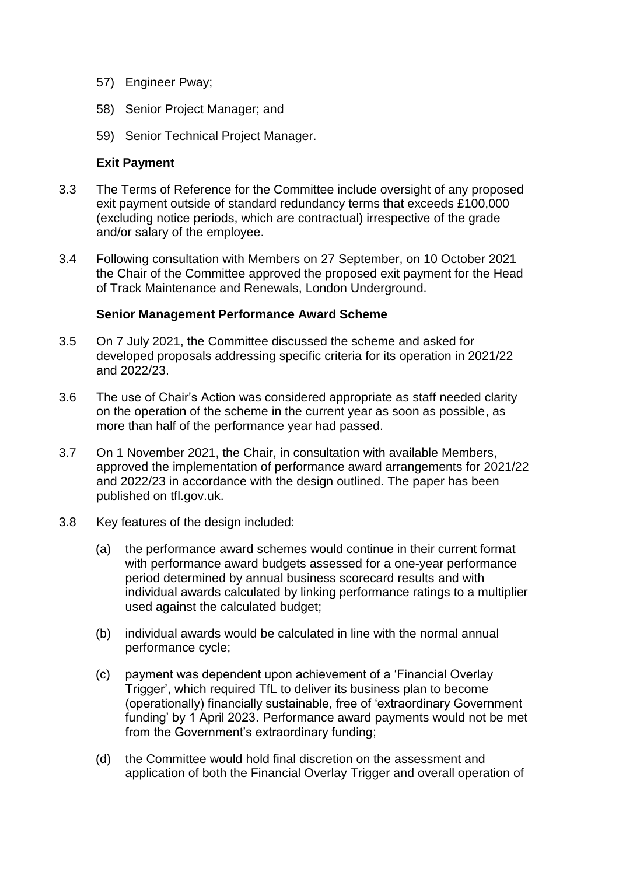- 57) Engineer Pway;
- 58) Senior Project Manager; and
- 59) Senior Technical Project Manager.

#### **Exit Payment**

- 3.3 The Terms of Reference for the Committee include oversight of any proposed exit payment outside of standard redundancy terms that exceeds £100,000 (excluding notice periods, which are contractual) irrespective of the grade and/or salary of the employee.
- 3.4 Following consultation with Members on 27 September, on 10 October 2021 the Chair of the Committee approved the proposed exit payment for the Head of Track Maintenance and Renewals, London Underground.

#### **Senior Management Performance Award Scheme**

- 3.5 On 7 July 2021, the Committee discussed the scheme and asked for developed proposals addressing specific criteria for its operation in 2021/22 and 2022/23.
- 3.6 The use of Chair's Action was considered appropriate as staff needed clarity on the operation of the scheme in the current year as soon as possible, as more than half of the performance year had passed.
- 3.7 On 1 November 2021, the Chair, in consultation with available Members, approved the implementation of performance award arrangements for 2021/22 and 2022/23 in accordance with the design outlined. The paper has been published on tfl.gov.uk.
- 3.8 Key features of the design included:
	- (a) the performance award schemes would continue in their current format with performance award budgets assessed for a one-year performance period determined by annual business scorecard results and with individual awards calculated by linking performance ratings to a multiplier used against the calculated budget;
	- (b) individual awards would be calculated in line with the normal annual performance cycle;
	- (c) payment was dependent upon achievement of a 'Financial Overlay Trigger', which required TfL to deliver its business plan to become (operationally) financially sustainable, free of 'extraordinary Government funding' by 1 April 2023. Performance award payments would not be met from the Government's extraordinary funding;
	- (d) the Committee would hold final discretion on the assessment and application of both the Financial Overlay Trigger and overall operation of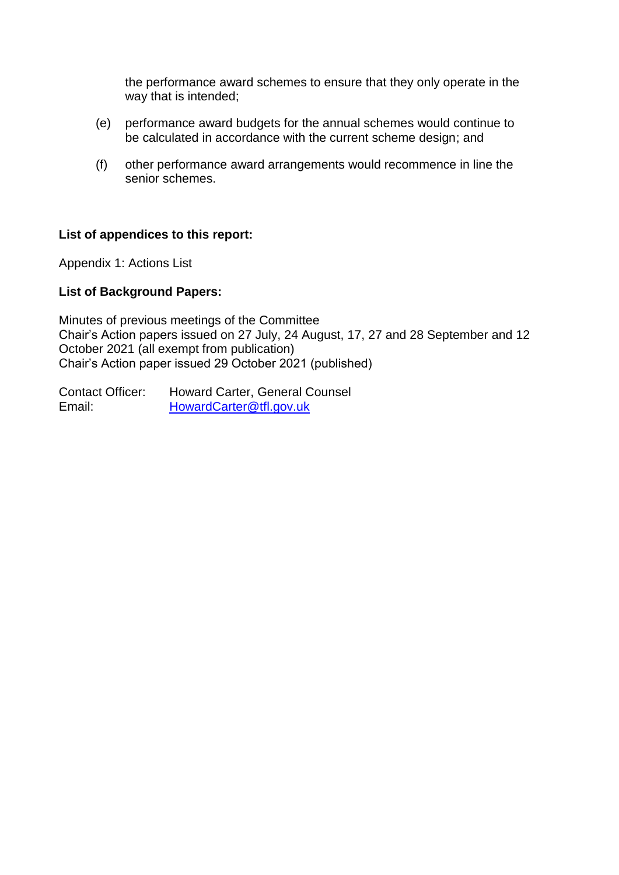the performance award schemes to ensure that they only operate in the way that is intended;

- (e) performance award budgets for the annual schemes would continue to be calculated in accordance with the current scheme design; and
- (f) other performance award arrangements would recommence in line the senior schemes.

#### **List of appendices to this report:**

Appendix 1: Actions List

#### **List of Background Papers:**

Minutes of previous meetings of the Committee Chair's Action papers issued on 27 July, 24 August, 17, 27 and 28 September and 12 October 2021 (all exempt from publication) Chair's Action paper issued 29 October 2021 (published)

Contact Officer: Howard Carter, General Counsel Email: [HowardCarter@tfl.gov.uk](mailto:HowardCarter@tfl.gov.uk)